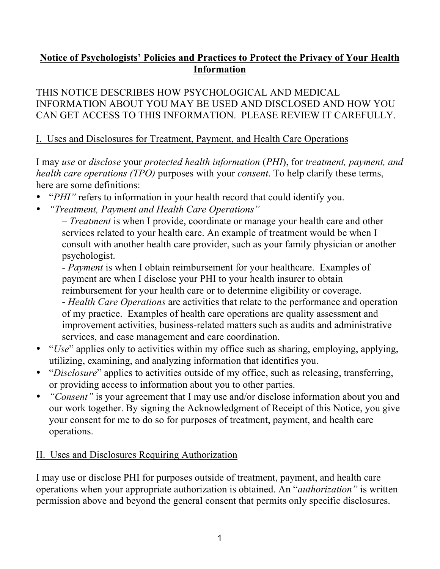# **Notice of Psychologists' Policies and Practices to Protect the Privacy of Your Health Information**

THIS NOTICE DESCRIBES HOW PSYCHOLOGICAL AND MEDICAL INFORMATION ABOUT YOU MAY BE USED AND DISCLOSED AND HOW YOU CAN GET ACCESS TO THIS INFORMATION. PLEASE REVIEW IT CAREFULLY.

## I. Uses and Disclosures for Treatment, Payment, and Health Care Operations

I may *use* or *disclose* your *protected health information* (*PHI*), for *treatment, payment, and health care operations (TPO)* purposes with your *consent*. To help clarify these terms, here are some definitions:

- "*PHI"* refers to information in your health record that could identify you.
- *"Treatment, Payment and Health Care Operations"*

– *Treatment* is when I provide, coordinate or manage your health care and other services related to your health care. An example of treatment would be when I consult with another health care provider, such as your family physician or another psychologist.

- *Payment* is when I obtain reimbursement for your healthcare. Examples of payment are when I disclose your PHI to your health insurer to obtain reimbursement for your health care or to determine eligibility or coverage.

- *Health Care Operations* are activities that relate to the performance and operation of my practice. Examples of health care operations are quality assessment and improvement activities, business-related matters such as audits and administrative services, and case management and care coordination.

- "*Use*" applies only to activities within my office such as sharing, employing, applying, utilizing, examining, and analyzing information that identifies you.
- "*Disclosure*" applies to activities outside of my office, such as releasing, transferring, or providing access to information about you to other parties.
- *"Consent"* is your agreement that I may use and/or disclose information about you and our work together. By signing the Acknowledgment of Receipt of this Notice, you give your consent for me to do so for purposes of treatment, payment, and health care operations.

### II. Uses and Disclosures Requiring Authorization

I may use or disclose PHI for purposes outside of treatment, payment, and health care operations when your appropriate authorization is obtained. An "*authorization"* is written permission above and beyond the general consent that permits only specific disclosures.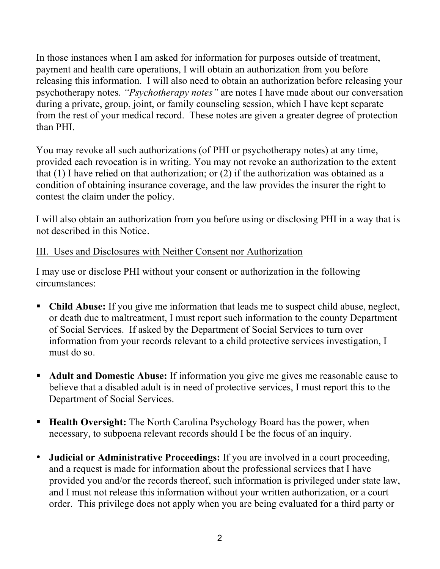In those instances when I am asked for information for purposes outside of treatment, payment and health care operations, I will obtain an authorization from you before releasing this information. I will also need to obtain an authorization before releasing your psychotherapy notes. *"Psychotherapy notes"* are notes I have made about our conversation during a private, group, joint, or family counseling session, which I have kept separate from the rest of your medical record. These notes are given a greater degree of protection than PHI.

You may revoke all such authorizations (of PHI or psychotherapy notes) at any time, provided each revocation is in writing. You may not revoke an authorization to the extent that (1) I have relied on that authorization; or (2) if the authorization was obtained as a condition of obtaining insurance coverage, and the law provides the insurer the right to contest the claim under the policy.

I will also obtain an authorization from you before using or disclosing PHI in a way that is not described in this Notice.

### III. Uses and Disclosures with Neither Consent nor Authorization

I may use or disclose PHI without your consent or authorization in the following circumstances:

- **Child Abuse:** If you give me information that leads me to suspect child abuse, neglect, or death due to maltreatment, I must report such information to the county Department of Social Services. If asked by the Department of Social Services to turn over information from your records relevant to a child protective services investigation, I must do so.
- **Adult and Domestic Abuse:** If information you give me gives me reasonable cause to believe that a disabled adult is in need of protective services, I must report this to the Department of Social Services.
- **Health Oversight:** The North Carolina Psychology Board has the power, when necessary, to subpoena relevant records should I be the focus of an inquiry.
- **Judicial or Administrative Proceedings:** If you are involved in a court proceeding, and a request is made for information about the professional services that I have provided you and/or the records thereof, such information is privileged under state law, and I must not release this information without your written authorization, or a court order. This privilege does not apply when you are being evaluated for a third party or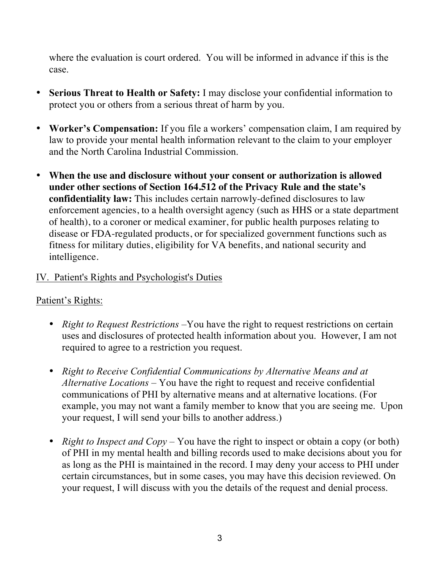where the evaluation is court ordered. You will be informed in advance if this is the case.

- **Serious Threat to Health or Safety:** I may disclose your confidential information to protect you or others from a serious threat of harm by you.
- **Worker's Compensation:** If you file a workers' compensation claim, I am required by law to provide your mental health information relevant to the claim to your employer and the North Carolina Industrial Commission.
- **When the use and disclosure without your consent or authorization is allowed under other sections of Section 164.512 of the Privacy Rule and the state's confidentiality law:** This includes certain narrowly-defined disclosures to law enforcement agencies, to a health oversight agency (such as HHS or a state department of health), to a coroner or medical examiner, for public health purposes relating to disease or FDA-regulated products, or for specialized government functions such as fitness for military duties, eligibility for VA benefits, and national security and intelligence.

#### IV. Patient's Rights and Psychologist's Duties

#### Patient's Rights:

- *Right to Request Restrictions* –You have the right to request restrictions on certain uses and disclosures of protected health information about you. However, I am not required to agree to a restriction you request.
- *Right to Receive Confidential Communications by Alternative Means and at Alternative Locations* – You have the right to request and receive confidential communications of PHI by alternative means and at alternative locations. (For example, you may not want a family member to know that you are seeing me. Upon your request, I will send your bills to another address.)
- *Right to Inspect and Copy* You have the right to inspect or obtain a copy (or both) of PHI in my mental health and billing records used to make decisions about you for as long as the PHI is maintained in the record. I may deny your access to PHI under certain circumstances, but in some cases, you may have this decision reviewed. On your request, I will discuss with you the details of the request and denial process.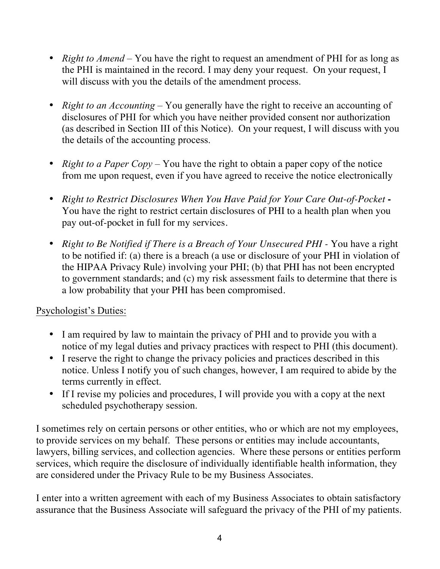- *Right to Amend* You have the right to request an amendment of PHI for as long as the PHI is maintained in the record. I may deny your request. On your request, I will discuss with you the details of the amendment process.
- *Right to an Accounting* You generally have the right to receive an accounting of disclosures of PHI for which you have neither provided consent nor authorization (as described in Section III of this Notice). On your request, I will discuss with you the details of the accounting process.
- *Right to a Paper Copy* You have the right to obtain a paper copy of the notice from me upon request, even if you have agreed to receive the notice electronically
- *Right to Restrict Disclosures When You Have Paid for Your Care Out-of-Pocket* **-** You have the right to restrict certain disclosures of PHI to a health plan when you pay out-of-pocket in full for my services.
- *Right to Be Notified if There is a Breach of Your Unsecured PHI -* You have a right to be notified if: (a) there is a breach (a use or disclosure of your PHI in violation of the HIPAA Privacy Rule) involving your PHI; (b) that PHI has not been encrypted to government standards; and (c) my risk assessment fails to determine that there is a low probability that your PHI has been compromised.

### Psychologist's Duties:

- I am required by law to maintain the privacy of PHI and to provide you with a notice of my legal duties and privacy practices with respect to PHI (this document).
- I reserve the right to change the privacy policies and practices described in this notice. Unless I notify you of such changes, however, I am required to abide by the terms currently in effect.
- If I revise my policies and procedures, I will provide you with a copy at the next scheduled psychotherapy session.

I sometimes rely on certain persons or other entities, who or which are not my employees, to provide services on my behalf. These persons or entities may include accountants, lawyers, billing services, and collection agencies. Where these persons or entities perform services, which require the disclosure of individually identifiable health information, they are considered under the Privacy Rule to be my Business Associates.

I enter into a written agreement with each of my Business Associates to obtain satisfactory assurance that the Business Associate will safeguard the privacy of the PHI of my patients.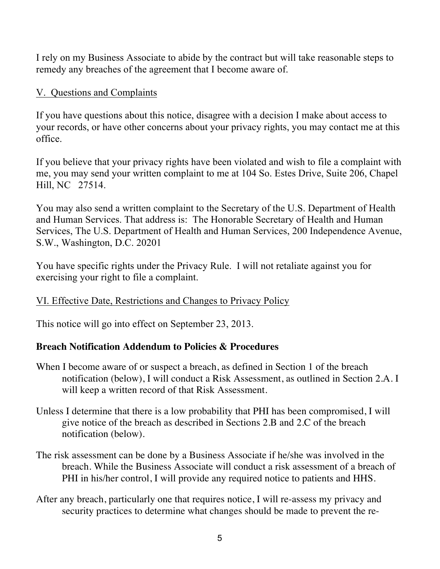I rely on my Business Associate to abide by the contract but will take reasonable steps to remedy any breaches of the agreement that I become aware of.

# V. Questions and Complaints

If you have questions about this notice, disagree with a decision I make about access to your records, or have other concerns about your privacy rights, you may contact me at this office.

If you believe that your privacy rights have been violated and wish to file a complaint with me, you may send your written complaint to me at 104 So. Estes Drive, Suite 206, Chapel Hill, NC 27514.

You may also send a written complaint to the Secretary of the U.S. Department of Health and Human Services. That address is: The Honorable Secretary of Health and Human Services, The U.S. Department of Health and Human Services, 200 Independence Avenue, S.W., Washington, D.C. 20201

You have specific rights under the Privacy Rule. I will not retaliate against you for exercising your right to file a complaint.

### VI. Effective Date, Restrictions and Changes to Privacy Policy

This notice will go into effect on September 23, 2013.

### **Breach Notification Addendum to Policies & Procedures**

- When I become aware of or suspect a breach, as defined in Section 1 of the breach notification (below), I will conduct a Risk Assessment, as outlined in Section 2.A. I will keep a written record of that Risk Assessment.
- Unless I determine that there is a low probability that PHI has been compromised, I will give notice of the breach as described in Sections 2.B and 2.C of the breach notification (below).
- The risk assessment can be done by a Business Associate if he/she was involved in the breach. While the Business Associate will conduct a risk assessment of a breach of PHI in his/her control, I will provide any required notice to patients and HHS.
- After any breach, particularly one that requires notice, I will re-assess my privacy and security practices to determine what changes should be made to prevent the re-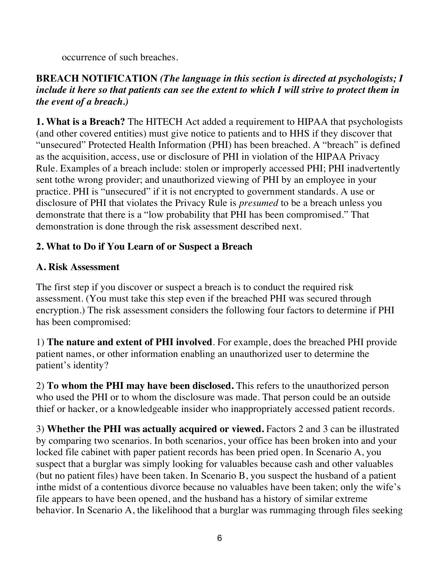occurrence of such breaches.

### **BREACH NOTIFICATION** *(The language in this section is directed at psychologists; I include it here so that patients can see the extent to which I will strive to protect them in the event of a breach.)*

**1. What is a Breach?** The HITECH Act added a requirement to HIPAA that psychologists (and other covered entities) must give notice to patients and to HHS if they discover that "unsecured" Protected Health Information (PHI) has been breached. A "breach" is defined as the acquisition, access, use or disclosure of PHI in violation of the HIPAA Privacy Rule. Examples of a breach include: stolen or improperly accessed PHI; PHI inadvertently sent tothe wrong provider; and unauthorized viewing of PHI by an employee in your practice. PHI is "unsecured" if it is not encrypted to government standards. A use or disclosure of PHI that violates the Privacy Rule is *presumed* to be a breach unless you demonstrate that there is a "low probability that PHI has been compromised." That demonstration is done through the risk assessment described next.

## **2. What to Do if You Learn of or Suspect a Breach**

### **A. Risk Assessment**

The first step if you discover or suspect a breach is to conduct the required risk assessment. (You must take this step even if the breached PHI was secured through encryption.) The risk assessment considers the following four factors to determine if PHI has been compromised:

1) **The nature and extent of PHI involved**. For example, does the breached PHI provide patient names, or other information enabling an unauthorized user to determine the patient's identity?

2) **To whom the PHI may have been disclosed.** This refers to the unauthorized person who used the PHI or to whom the disclosure was made. That person could be an outside thief or hacker, or a knowledgeable insider who inappropriately accessed patient records.

3) **Whether the PHI was actually acquired or viewed.** Factors 2 and 3 can be illustrated by comparing two scenarios. In both scenarios, your office has been broken into and your locked file cabinet with paper patient records has been pried open. In Scenario A, you suspect that a burglar was simply looking for valuables because cash and other valuables (but no patient files) have been taken. In Scenario B, you suspect the husband of a patient inthe midst of a contentious divorce because no valuables have been taken; only the wife's file appears to have been opened, and the husband has a history of similar extreme behavior. In Scenario A, the likelihood that a burglar was rummaging through files seeking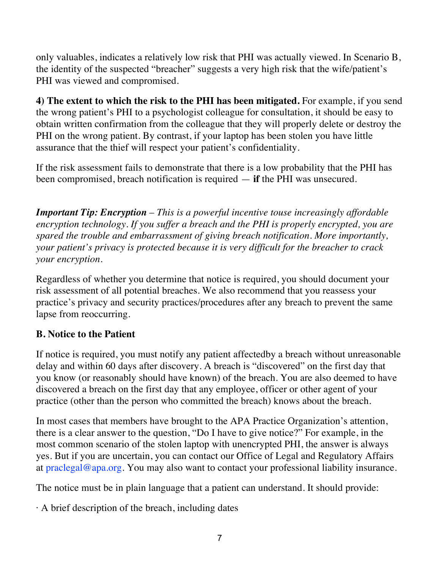only valuables, indicates a relatively low risk that PHI was actually viewed. In Scenario B, the identity of the suspected "breacher" suggests a very high risk that the wife/patient's PHI was viewed and compromised.

**4) The extent to which the risk to the PHI has been mitigated.** For example, if you send the wrong patient's PHI to a psychologist colleague for consultation, it should be easy to obtain written confirmation from the colleague that they will properly delete or destroy the PHI on the wrong patient. By contrast, if your laptop has been stolen you have little assurance that the thief will respect your patient's confidentiality.

If the risk assessment fails to demonstrate that there is a low probability that the PHI has been compromised, breach notification is required  $-$  **if** the PHI was unsecured.

*Important Tip: Encryption* – *This is a powerful incentive touse increasingly affordable encryption technology. If you suffer a breach and the PHI is properly encrypted, you are spared the trouble and embarrassment of giving breach notification. More importantly, your patient's privacy is protected because it is very difficult for the breacher to crack your encryption.*

Regardless of whether you determine that notice is required, you should document your risk assessment of all potential breaches. We also recommend that you reassess your practice's privacy and security practices/procedures after any breach to prevent the same lapse from reoccurring.

### **B. Notice to the Patient**

If notice is required, you must notify any patient affectedby a breach without unreasonable delay and within 60 days after discovery. A breach is "discovered" on the first day that you know (or reasonably should have known) of the breach. You are also deemed to have discovered a breach on the first day that any employee, officer or other agent of your practice (other than the person who committed the breach) knows about the breach.

In most cases that members have brought to the APA Practice Organization's attention, there is a clear answer to the question, "Do I have to give notice?" For example, in the most common scenario of the stolen laptop with unencrypted PHI, the answer is always yes. But if you are uncertain, you can contact our Office of Legal and Regulatory Affairs at praclegal@apa.org. You may also want to contact your professional liability insurance.

The notice must be in plain language that a patient can understand. It should provide:

 $\cdot$  A brief description of the breach, including dates